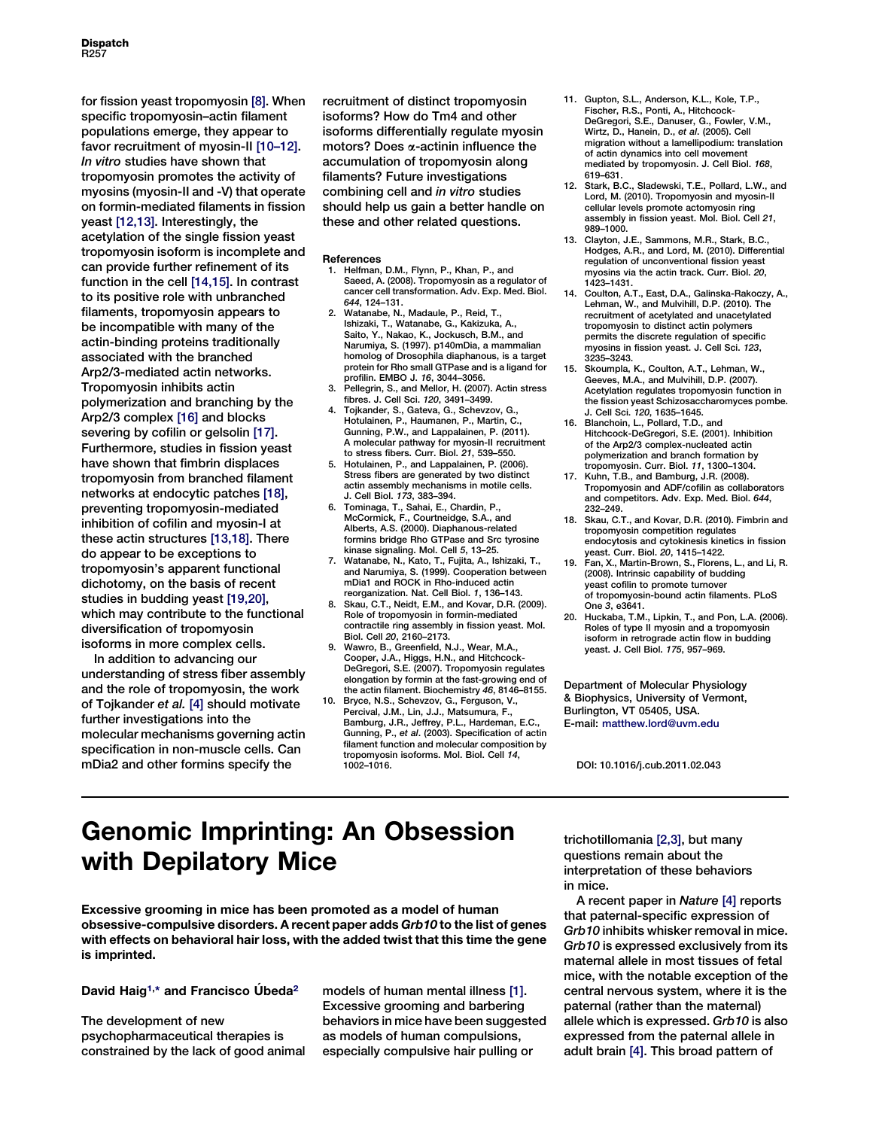for fission yeast tropomyosin [8]. When specific tropomyosin–actin filament populations emerge, they appear to favor recruitment of myosin-II [10–12]. In vitro studies have shown that tropomyosin promotes the activity of myosins (myosin-II and -V) that operate on formin-mediated filaments in fission yeast [12,13]. Interestingly, the acetylation of the single fission yeast tropomyosin isoform is incomplete and can provide further refinement of its function in the cell [14,15]. In contrast to its positive role with unbranched filaments, tropomyosin appears to be incompatible with many of the actin-binding proteins traditionally associated with the branched Arp2/3-mediated actin networks. Tropomyosin inhibits actin polymerization and branching by the Arp2/3 complex [16] and blocks severing by cofilin or gelsolin [17]. Furthermore, studies in fission yeast have shown that fimbrin displaces tropomyosin from branched filament networks at endocytic patches [18], preventing tropomyosin-mediated inhibition of cofilin and myosin-I at these actin structures [13,18]. There do appear to be exceptions to tropomyosin's apparent functional dichotomy, on the basis of recent studies in budding yeast [19,20], which may contribute to the functional diversification of tropomyosin isoforms in more complex cells.

In addition to advancing our understanding of stress fiber assembly and the role of tropomyosin, the work of Tojkander et al. [4] should motivate further investigations into the molecular mechanisms governing actin specification in non-muscle cells. Can mDia2 and other formins specify the

recruitment of distinct tropomyosin isoforms? How do Tm4 and other isoforms differentially regulate myosin motors? Does a-actinin influence the accumulation of tropomyosin along filaments? Future investigations combining cell and in vitro studies should help us gain a better handle on these and other related questions.

#### References

- 1. Helfman, D.M., Flynn, P., Khan, P., and Saeed, A. (2008). Tropomyosin as a regulator of cancer cell transformation. Adv. Exp. Med. Biol.
- 644, 124–131. 2. Watanabe, N., Madaule, P., Reid, T., Ishizaki, T., Watanabe, G., Kakizuka, A., Saito, Y., Nakao, K., Jockusch, B.M., and Narumiya, S. (1997). p140mDia, a mammalian homolog of Drosophila diaphanous, is a target protein for Rho small GTPase and is a ligand for
- profilin. EMBO J. 16, 3044–3056. 3. Pellegrin, S., and Mellor, H. (2007). Actin stress fibres. J. Cell Sci. 120, 3491–3499.
- 4. Tojkander, S., Gateva, G., Schevzov, G., Hotulainen, P., Haumanen, P., Martin, C. Gunning, P.W., and Lappalainen, P. (2011). A molecular pathway for myosin-II recruitment
- to stress fibers. Curr. Biol. 21, 539–550. 5. Hotulainen, P., and Lappalainen, P. (2006). Stress fibers are generated by two distinct actin assembly mechanisms in motile cells.<br>J. Cell Biol. 173. 383-394. J. Cell Biol. 173, 383–394. 6. Tominaga, T., Sahai, E., Chardin, P.,
- McCormick, F., Courtneidge, S.A., and Alberts, A.S. (2000). Diaphanous-related formins bridge Rho GTPase and Src tyrosine kinase signaling. Mol. Cell 5, 13–25. 7. Watanabe, N., Kato, T., Fujita, A., Ishizaki, T.,
- and Narumiya, S. (1999). Cooperation between mDia1 and ROCK in Rho-induced actin reorganization. Nat. Cell Biol. 1, 136–143.
- 8. Skau, C.T., Neidt, E.M., and Kovar, D.R. (2009). Role of tropomyosin in formin-mediated contractile ring assembly in fission yeast. Mol. Biol. Cell 20, 2160–2173.
- 9. Wawro, B., Greenfield, N.J., Wear, M.A., Cooper, J.A., Higgs, H.N., and Hitchcock-DeGregori, S.E. (2007). Tropomyosin regulates elongation by formin at the fast-growing end of the actin filament. Biochemistry 46, 8146–8155.
- 10. Bryce, N.S., Schevzov, G., Ferguson, V. Percival, J.M., Lin, J.J., Matsumura, F., Bamburg, J.R., Jeffrey, P.L., Hardeman, E.C., Gunning, P., et al. (2003). Specification of actin filament function and molecular composition by tropomyosin isoforms. Mol. Biol. Cell 14, 1002–1016.
- 11. Gupton, S.L., Anderson, K.L., Kole, T.P., Fischer, R.S., Ponti, A., Hitchcock-DeGregori, S.E., Danuser, G., Fowler, V.M., Wirtz, D., Hanein, D., et al. (2005). Cell migration without a lamellipodium: trans of actin dynamics into cell movement mediated by tropomyosin. J. Cell Biol. 168, 619–631.
- 12. Stark, B.C., Sladewski, T.E., Pollard, L.W., and Lord, M. (2010). Tropomyosin and myosin-II cellular levels promote actomyosin ring assembly in fission yeast. Mol. Biol. Cell 21, 989–1000.
- 13. Clayton, J.E., Sammons, M.R., Stark, B.C. Hodges, A.R., and Lord, M. (2010). Differential regulation of unconventional fission yeast myosins via the actin track. Curr. Biol. 20, 1423–1431.
- 14. Coulton, A.T., East, D.A., Galinska-Rakoczy, A., Lehman, W., and Mulvihill, D.P. (2010). The recruitment of acetylated and unacetylated tropomyosin to distinct actin polymers permits the discrete regulation of specific myosins in fission yeast. J. Cell Sci. 123, 3235–3243.
- 15. Skoumpla, K., Coulton, A.T., Lehman, W., Geeves, M.A., and Mulvihill, D.P. (2007). Acetylation regulates tropomyosin function in the fission yeast Schizosaccharomyces pombe.<br>J. Cell Sci. 120. 1635–1645.
- J. Cell Sci. 120, 1635–1645. 16. Blanchoin, L., Pollard, T.D., and Hitchcock-DeGregori, S.E. (2001). Inhibition of the Arp2/3 complex-nucleated actin polymerization and branch formation by tropomyosin. Curr. Biol. 11, 1300–1304.
- 17. Kuhn, T.B., and Bamburg, J.R. (2008). Tropomyosin and ADF/cofilin as collaborators and competitors. Adv. Exp. Med. Biol. 644, 232–249.
- 18. Skau, C.T., and Kovar, D.R. (2010). Fimbrin and tropomyosin competition regulates endocytosis and cytokinesis kinetics in fission yeast. Curr. Biol. 20, 1415–1422.
- 19. Fan, X., Martin-Brown, S., Florens, L., and Li, R. (2008). Intrinsic capability of budding yeast cofilin to promote turnover of tropomyosin-bound actin filaments. PLoS One 3, e3641.
- 20. Huckaba, T.M., Lipkin, T., and Pon, L.A. (2006). Roles of type II myosin and a tropomyosin isoform in retrograde actin flow in budding yeast. J. Cell Biol. 175, 957–969.

Department of Molecular Physiology & Biophysics, University of Vermont, Burlington, VT 05405, USA. E-mail: [matthew.lord@uvm.edu](mailto:matthew.lord@uvm.edu)

DOI: 10.1016/j.cub.2011.02.043

## Genomic Imprinting: An Obsession with Depilatory Mice

Excessive grooming in mice has been promoted as a model of human obsessive-compulsive disorders. A recent paper adds Grb10 to the list of genes with effects on behavioral hair loss, with the added twist that this time the gene is imprinted.

## David Haig<sup>[1,](#page-2-0)[\\*](#page-2-0)</sup> and Francisco Úbeda<sup>[2](#page-2-0)</sup>

The development of new psychopharmaceutical therapies is constrained by the lack of good animal models of human mental illness [\[1\]](#page-2-0). Excessive grooming and barbering behaviors in mice have been suggested as models of human compulsions, especially compulsive hair pulling or

trichotillomania [\[2,3\],](#page-2-0) but many questions remain about the interpretation of these behaviors in mice.

A recent paper in Nature [\[4\]](#page-2-0) reports that paternal-specific expression of Grb10 inhibits whisker removal in mice. Grb10 is expressed exclusively from its maternal allele in most tissues of fetal mice, with the notable exception of the central nervous system, where it is the paternal (rather than the maternal) allele which is expressed. Grb10 is also expressed from the paternal allele in adult brain [\[4\]](#page-2-0). This broad pattern of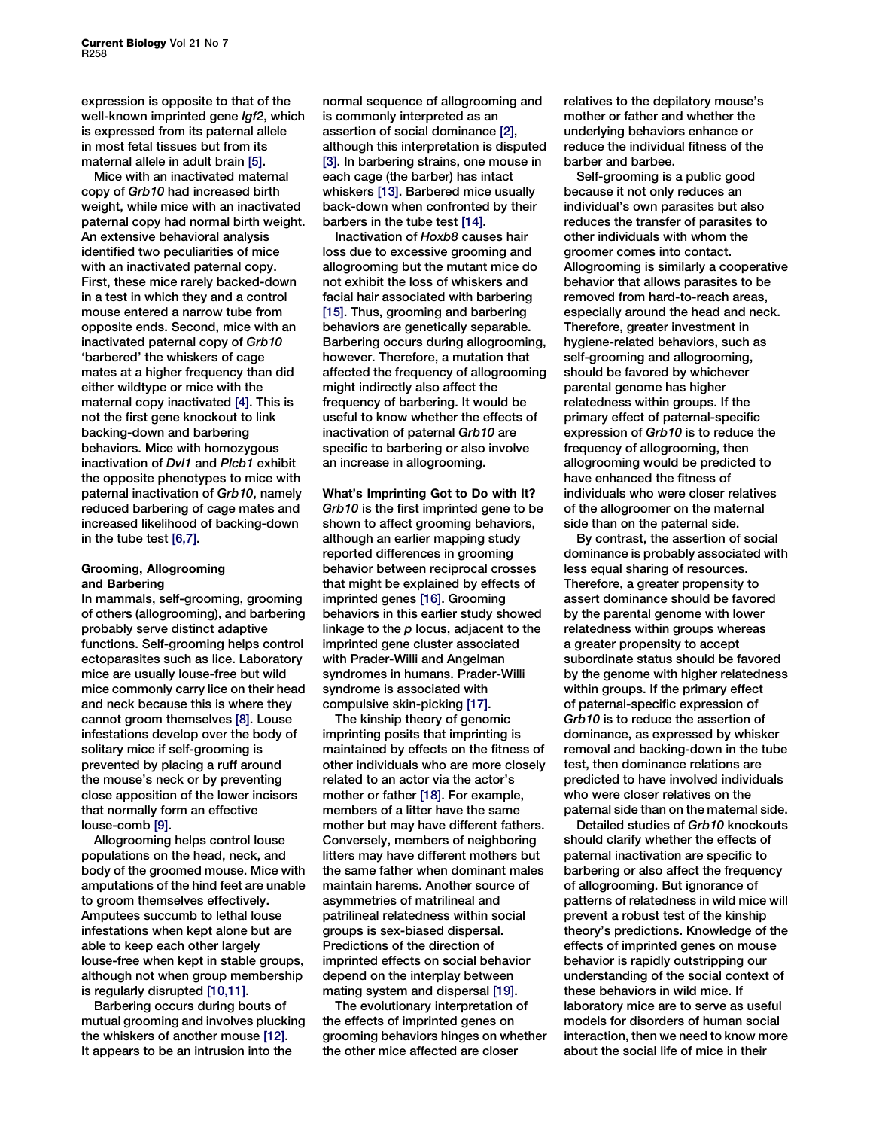expression is opposite to that of the well-known imprinted gene Igf2, which is expressed from its paternal allele in most fetal tissues but from its maternal allele in adult brain [\[5\].](#page-2-0)

Mice with an inactivated maternal copy of Grb10 had increased birth weight, while mice with an inactivated paternal copy had normal birth weight. An extensive behavioral analysis identified two peculiarities of mice with an inactivated paternal copy. First, these mice rarely backed-down in a test in which they and a control mouse entered a narrow tube from opposite ends. Second, mice with an inactivated paternal copy of Grb10 'barbered' the whiskers of cage mates at a higher frequency than did either wildtype or mice with the maternal copy inactivated [\[4\].](#page-2-0) This is not the first gene knockout to link backing-down and barbering behaviors. Mice with homozygous inactivation of Dvl1 and Plcb1 exhibit the opposite phenotypes to mice with paternal inactivation of Grb10, namely reduced barbering of cage mates and increased likelihood of backing-down in the tube test [\[6,7\]](#page-2-0).

### Grooming, Allogrooming and Barbering

In mammals, self-grooming, grooming of others (allogrooming), and barbering probably serve distinct adaptive functions. Self-grooming helps control ectoparasites such as lice. Laboratory mice are usually louse-free but wild mice commonly carry lice on their head and neck because this is where they cannot groom themselves [\[8\]](#page-2-0). Louse infestations develop over the body of solitary mice if self-grooming is prevented by placing a ruff around the mouse's neck or by preventing close apposition of the lower incisors that normally form an effective louse-comb [\[9\].](#page-2-0)

Allogrooming helps control louse populations on the head, neck, and body of the groomed mouse. Mice with amputations of the hind feet are unable to groom themselves effectively. Amputees succumb to lethal louse infestations when kept alone but are able to keep each other largely louse-free when kept in stable groups, although not when group membership is regularly disrupted [\[10,11\]](#page-2-0).

Barbering occurs during bouts of mutual grooming and involves plucking the whiskers of another mouse [\[12\]](#page-2-0). It appears to be an intrusion into the

normal sequence of allogrooming and is commonly interpreted as an assertion of social dominance [\[2\]](#page-2-0), although this interpretation is disputed [\[3\].](#page-2-0) In barbering strains, one mouse in each cage (the barber) has intact whiskers [\[13\].](#page-2-0) Barbered mice usually back-down when confronted by their barbers in the tube test [\[14\].](#page-2-0)

Inactivation of Hoxb8 causes hair loss due to excessive grooming and allogrooming but the mutant mice do not exhibit the loss of whiskers and facial hair associated with barbering [\[15\].](#page-2-0) Thus, grooming and barbering behaviors are genetically separable. Barbering occurs during allogrooming, however. Therefore, a mutation that affected the frequency of allogrooming might indirectly also affect the frequency of barbering. It would be useful to know whether the effects of inactivation of paternal Grb10 are specific to barbering or also involve an increase in allogrooming.

What's Imprinting Got to Do with It? Grb10 is the first imprinted gene to be shown to affect grooming behaviors. although an earlier mapping study reported differences in grooming behavior between reciprocal crosses that might be explained by effects of imprinted genes [\[16\]](#page-2-0). Grooming behaviors in this earlier study showed linkage to the  $p$  locus, adjacent to the imprinted gene cluster associated with Prader-Willi and Angelman syndromes in humans. Prader-Willi syndrome is associated with compulsive skin-picking [\[17\]](#page-2-0).

The kinship theory of genomic imprinting posits that imprinting is maintained by effects on the fitness of other individuals who are more closely related to an actor via the actor's mother or father [\[18\]](#page-2-0). For example, members of a litter have the same mother but may have different fathers. Conversely, members of neighboring litters may have different mothers but the same father when dominant males maintain harems. Another source of asymmetries of matrilineal and patrilineal relatedness within social groups is sex-biased dispersal. Predictions of the direction of imprinted effects on social behavior depend on the interplay between mating system and dispersal [\[19\].](#page-2-0)

The evolutionary interpretation of the effects of imprinted genes on grooming behaviors hinges on whether the other mice affected are closer

relatives to the depilatory mouse's mother or father and whether the underlying behaviors enhance or reduce the individual fitness of the barber and barbee.

Self-grooming is a public good because it not only reduces an individual's own parasites but also reduces the transfer of parasites to other individuals with whom the groomer comes into contact. Allogrooming is similarly a cooperative behavior that allows parasites to be removed from hard-to-reach areas, especially around the head and neck. Therefore, greater investment in hygiene-related behaviors, such as self-grooming and allogrooming, should be favored by whichever parental genome has higher relatedness within groups. If the primary effect of paternal-specific expression of Grb10 is to reduce the frequency of allogrooming, then allogrooming would be predicted to have enhanced the fitness of individuals who were closer relatives of the allogroomer on the maternal side than on the paternal side.

By contrast, the assertion of social dominance is probably associated with less equal sharing of resources. Therefore, a greater propensity to assert dominance should be favored by the parental genome with lower relatedness within groups whereas a greater propensity to accept subordinate status should be favored by the genome with higher relatedness within groups. If the primary effect of paternal-specific expression of Grb10 is to reduce the assertion of dominance, as expressed by whisker removal and backing-down in the tube test, then dominance relations are predicted to have involved individuals who were closer relatives on the paternal side than on the maternal side.

Detailed studies of Grb10 knockouts should clarify whether the effects of paternal inactivation are specific to barbering or also affect the frequency of allogrooming. But ignorance of patterns of relatedness in wild mice will prevent a robust test of the kinship theory's predictions. Knowledge of the effects of imprinted genes on mouse behavior is rapidly outstripping our understanding of the social context of these behaviors in wild mice. If laboratory mice are to serve as useful models for disorders of human social interaction, then we need to know more about the social life of mice in their